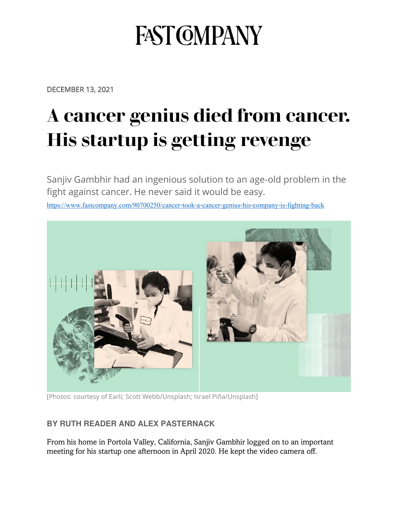## **FAST GMPANY**

DECEMBER 13, 2021

## **[A cancer genius died from cancer.](https://www.fastcompany.com/90700250/cancer-took-a-cancer-genius-his-company-is-fighting-back)  [His startup is getting revenge](https://www.fastcompany.com/90700250/cancer-took-a-cancer-genius-his-company-is-fighting-back)**

Sanjiv Gambhir had an ingenious solution to an age-old problem in the fight against cancer. He never said it would be easy.

<https://www.fastcompany.com/90700250/cancer-took-a-cancer-genius-his-company-is-fighting-back>



[Photos: courtesy of Earli; [Scott Webb/](https://unsplash.com/photos/lNxbROqJ8zo)Unsplash; [Israel Piña/](https://unsplash.com/photos/pgdqv7xsnUE)Unsplash]

## **BY RUTH READER AND ALEX PASTERNACK**

From his home in Portola Valley, California, Sanjiv Gambhir logged on to an important meeting for his startup one afternoon in April 2020. He kept the video camera off.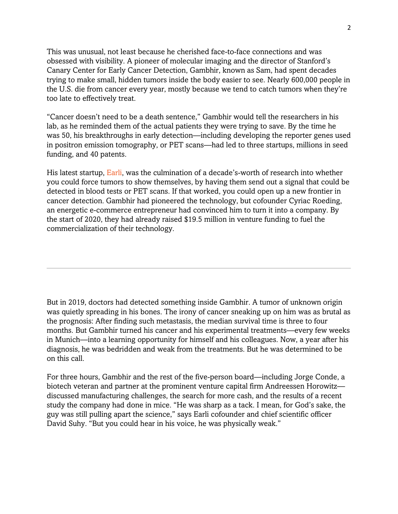This was unusual, not least because he cherished face-to-face connections and was obsessed with visibility. A pioneer of molecular imaging and the director of Stanford's Canary Center for Early Cancer Detection, Gambhir, known as Sam, had spent decades trying to make small, hidden tumors inside the body easier to see. Nearly 600,000 people in the U.S. die from cancer every year, mostly because we tend to catch tumors when they're too late to effectively treat.

"Cancer doesn't need to be a death sentence," Gambhir would tell the researchers in his lab, as he reminded them of the actual patients they were trying to save. By the time he was 50, his breakthroughs in early detection—including developing the reporter genes used in positron emission tomography, or PET scans—had led to three startups, millions in seed funding, and 40 patents.

His latest startup, [Earli](https://www.earli.com/), was the culmination of a decade's-worth of research into whether you could force tumors to show themselves, by having them send out a signal that could be detected in blood tests or PET scans. If that worked, you could open up a new frontier in cancer detection. Gambhir had pioneered the technology, but cofounder Cyriac Roeding, an energetic e-commerce entrepreneur had convinced him to turn it into a company. By the start of 2020, they had already raised \$19.5 million in venture funding to fuel the commercialization of their technology.

But in 2019, doctors had detected something inside Gambhir. A tumor of unknown origin was quietly spreading in his bones. The irony of cancer sneaking up on him was as brutal as the prognosis: After finding such metastasis, the median survival time is three to four months. But Gambhir turned his cancer and his experimental treatments—every few weeks in Munich—into a learning opportunity for himself and his colleagues. Now, a year after his diagnosis, he was bedridden and weak from the treatments. But he was determined to be on this call.

For three hours, Gambhir and the rest of the five-person board—including Jorge Conde, a biotech veteran and partner at the prominent venture capital firm Andreessen Horowitz discussed manufacturing challenges, the search for more cash, and the results of a recent study the company had done in mice. "He was sharp as a tack. I mean, for God's sake, the guy was still pulling apart the science," says Earli cofounder and chief scientific officer David Suhy. "But you could hear in his voice, he was physically weak."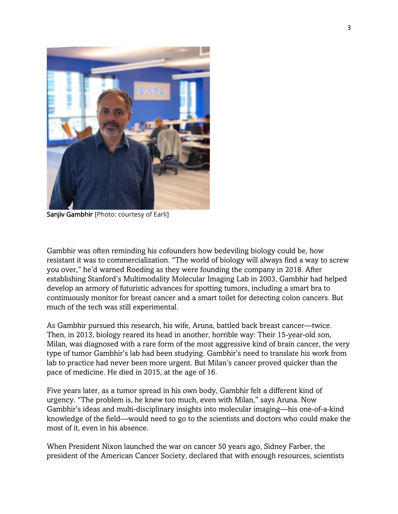

Sanjiv Gambhir [Photo: courtesy of Earli]

Gambhir was often reminding his cofounders how bedeviling biology could be, how resistant it was to commercialization. "The world of biology will always find a way to screw you over," he'd warned Roeding as they were founding the company in 2018. After establishing Stanford's Multimodality Molecular Imaging Lab in 2003, Gambhir had helped develop an armory of futuristic advances for spotting tumors, including a smart bra to continuously monitor for breast cancer and a smart toilet for detecting colon cancers. But much of the tech was still experimental.

As Gambhir pursued this research, his wife, Aruna, battled back breast cancer—twice. Then, in 2013, biology reared its head in another, horrible way: Their 15-year-old son, Milan, was diagnosed with a rare form of the most aggressive kind of brain cancer, the very type of tumor Gambhir's lab had been studying. Gambhir's need to translate his work from lab to practice had never been more urgent. But Milan's cancer proved quicker than the pace of medicine. He died in 2015, at the age of 16.

Five years later, as a tumor spread in his own body, Gambhir felt a different kind of urgency. "The problem is, he knew too much, even with Milan," says Aruna. Now Gambhir's ideas and multi-disciplinary insights into molecular imaging—his one-of-a-kind knowledge of the field—would need to go to the scientists and doctors who could make the most of it, even in his absence.

When President Nixon launched the war on cancer 50 years ago, Sidney Farber, the president of the American Cancer Society, declared that with enough resources, scientists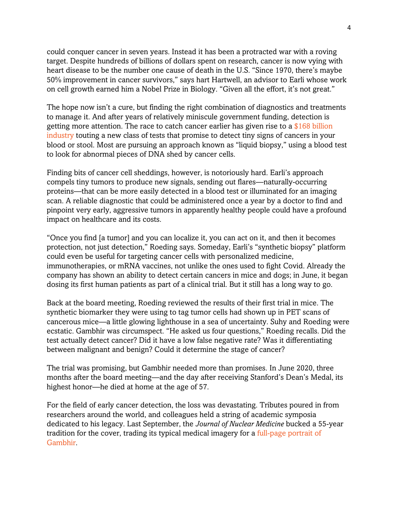could conquer cancer in seven years. Instead it has been a protracted war with a roving target. Despite hundreds of billions of dollars spent on research, cancer is now vying with heart disease to be the number one cause of death in the U.S. "Since 1970, there's maybe 50% improvement in cancer survivors," says hart Hartwell, an advisor to Earli whose work on cell growth earned him a Nobel Prize in Biology. "Given all the effort, it's not great."

The hope now isn't a cure, but finding the right combination of diagnostics and treatments to manage it. And after years of relatively miniscule government funding, detection is getting more attention. The race to catch cancer earlier has given rise to a [\\$168 billion](https://www.alliedmarketresearch.com/cancer-diagnostics-market-A11336)  [industry](https://www.alliedmarketresearch.com/cancer-diagnostics-market-A11336) touting a new class of tests that promise to detect tiny signs of cancers in your blood or stool. Most are pursuing an approach known as "liquid biopsy," using a blood test to look for abnormal pieces of DNA shed by cancer cells.

Finding bits of cancer cell sheddings, however, is notoriously hard. Earli's approach compels tiny tumors to produce new signals, sending out flares—naturally-occurring proteins—that can be more easily detected in a blood test or illuminated for an imaging scan. A reliable diagnostic that could be administered once a year by a doctor to find and pinpoint very early, aggressive tumors in apparently healthy people could have a profound impact on healthcare and its costs.

"Once you find [a tumor] and you can localize it, you can act on it, and then it becomes protection, not just detection," Roeding says. Someday, Earli's "synthetic biopsy" platform could even be useful for targeting cancer cells with personalized medicine, immunotherapies, or mRNA vaccines, not unlike the ones used to fight Covid. Already the company has shown an ability to detect certain cancers in mice and dogs; in June, it began dosing its first human patients as part of a clinical trial. But it still has a long way to go.

Back at the board meeting, Roeding reviewed the results of their first trial in mice. The synthetic biomarker they were using to tag tumor cells had shown up in PET scans of cancerous mice—a little glowing lighthouse in a sea of uncertainty. Suhy and Roeding were ecstatic. Gambhir was circumspect. "He asked us four questions," Roeding recalls. Did the test actually detect cancer? Did it have a low false negative rate? Was it differentiating between malignant and benign? Could it determine the stage of cancer?

The trial was promising, but Gambhir needed more than promises. In June 2020, three months after the board meeting—and the day after receiving Stanford's Dean's Medal, its highest honor—he died at home at the age of 57.

For the field of early cancer detection, the loss was devastating. Tributes poured in from researchers around the world, and colleagues held a string of academic symposia dedicated to his legacy. Last September, the *Journal of Nuclear Medicine* bucked a 55-year tradition for the cover, trading its typical medical imagery for a [full-page portrait of](https://jnm.snmjournals.org/content/61/9/1273)  [Gambhir.](https://jnm.snmjournals.org/content/61/9/1273)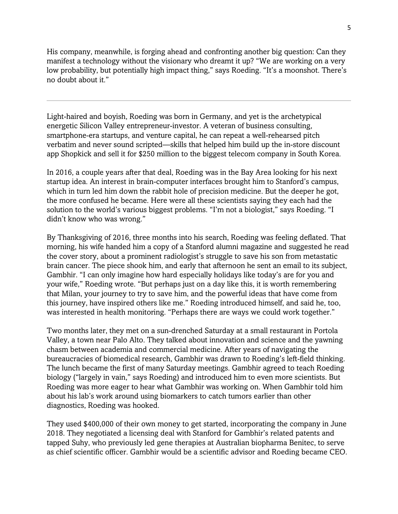His company, meanwhile, is forging ahead and confronting another big question: Can they manifest a technology without the visionary who dreamt it up? "We are working on a very low probability, but potentially high impact thing," says Roeding. "It's a moonshot. There's no doubt about it."

Light-haired and boyish, Roeding was born in Germany, and yet is the archetypical energetic Silicon Valley entrepreneur-investor. A veteran of business consulting, smartphone-era startups, and venture capital, he can repeat a well-rehearsed pitch verbatim and never sound scripted—skills that helped him build up the in-store discount app Shopkick and sell it for \$250 million to the biggest telecom company in South Korea.

In 2016, a couple years after that deal, Roeding was in the Bay Area looking for his next startup idea. An interest in brain-computer interfaces brought him to Stanford's campus, which in turn led him down the rabbit hole of precision medicine. But the deeper he got, the more confused he became. Here were all these scientists saying they each had the solution to the world's various biggest problems. "I'm not a biologist," says Roeding. "I didn't know who was wrong."

By Thanksgiving of 2016, three months into his search, Roeding was feeling deflated. That morning, his wife handed him a copy of a Stanford alumni magazine and suggested he read the cover story, about a prominent radiologist's struggle to save his son from metastatic brain cancer. The piece shook him, and early that afternoon he sent an email to its subject, Gambhir. "I can only imagine how hard especially holidays like today's are for you and your wife," Roeding wrote. "But perhaps just on a day like this, it is worth remembering that Milan, your journey to try to save him, and the powerful ideas that have come from this journey, have inspired others like me." Roeding introduced himself, and said he, too, was interested in health monitoring. "Perhaps there are ways we could work together."

Two months later, they met on a sun-drenched Saturday at a small restaurant in Portola Valley, a town near Palo Alto. They talked about innovation and science and the yawning chasm between academia and commercial medicine. After years of navigating the bureaucracies of biomedical research, Gambhir was drawn to Roeding's left-field thinking. The lunch became the first of many Saturday meetings. Gambhir agreed to teach Roeding biology ("largely in vain," says Roeding) and introduced him to even more scientists. But Roeding was more eager to hear what Gambhir was working on. When Gambhir told him about his lab's work around using biomarkers to catch tumors earlier than other diagnostics, Roeding was hooked.

They used \$400,000 of their own money to get started, incorporating the company in June 2018. They negotiated a licensing deal with Stanford for Gambhir's related patents and tapped Suhy, who previously led gene therapies at Australian biopharma Benitec, to serve as chief scientific officer. Gambhir would be a scientific advisor and Roeding became CEO.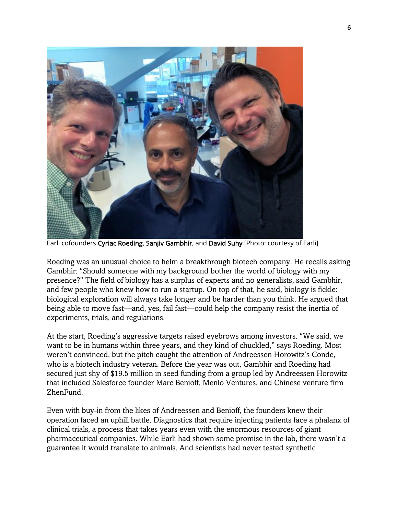

Earli cofounders Cyriac Roeding, Sanjiv Gambhir, and David Suhy [Photo: courtesy of Earli]

Roeding was an unusual choice to helm a breakthrough biotech company. He recalls asking Gambhir: "Should someone with my background bother the world of biology with my presence?" The field of biology has a surplus of experts and no generalists, said Gambhir, and few people who knew how to run a startup. On top of that, he said, biology is fickle: biological exploration will always take longer and be harder than you think. He argued that being able to move fast—and, yes, fail fast—could help the company resist the inertia of experiments, trials, and regulations.

At the start, Roeding's aggressive targets raised eyebrows among investors. "We said, we want to be in humans within three years, and they kind of chuckled," says Roeding. Most weren't convinced, but the pitch caught the attention of Andreessen Horowitz's Conde, who is a biotech industry veteran. Before the year was out, Gambhir and Roeding had secured just shy of \$19.5 million in seed funding from a group led by Andreessen Horowitz that included Salesforce founder Marc Benioff, Menlo Ventures, and Chinese venture firm ZhenFund.

Even with buy-in from the likes of Andreessen and Benioff, the founders knew their operation faced an uphill battle. Diagnostics that require injecting patients face a phalanx of clinical trials, a process that takes years even with the enormous resources of giant pharmaceutical companies. While Earli had shown some promise in the lab, there wasn't a guarantee it would translate to animals. And scientists had never tested synthetic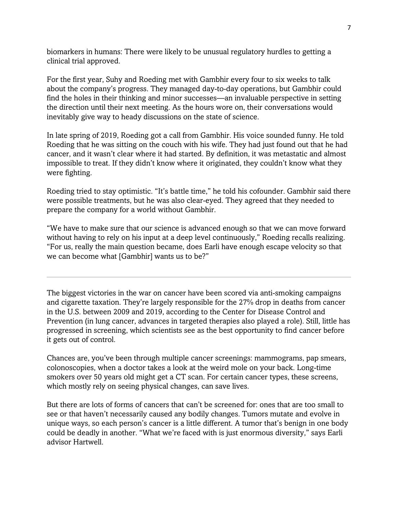biomarkers in humans: There were likely to be unusual regulatory hurdles to getting a clinical trial approved.

For the first year, Suhy and Roeding met with Gambhir every four to six weeks to talk about the company's progress. They managed day-to-day operations, but Gambhir could find the holes in their thinking and minor successes—an invaluable perspective in setting the direction until their next meeting. As the hours wore on, their conversations would inevitably give way to heady discussions on the state of science.

In late spring of 2019, Roeding got a call from Gambhir. His voice sounded funny. He told Roeding that he was sitting on the couch with his wife. They had just found out that he had cancer, and it wasn't clear where it had started. By definition, it was metastatic and almost impossible to treat. If they didn't know where it originated, they couldn't know what they were fighting.

Roeding tried to stay optimistic. "It's battle time," he told his cofounder. Gambhir said there were possible treatments, but he was also clear-eyed. They agreed that they needed to prepare the company for a world without Gambhir.

"We have to make sure that our science is advanced enough so that we can move forward without having to rely on his input at a deep level continuously," Roeding recalls realizing. "For us, really the main question became, does Earli have enough escape velocity so that we can become what [Gambhir] wants us to be?"

The biggest victories in the war on cancer have been scored via anti-smoking campaigns and cigarette taxation. They're largely responsible for the 27% drop in deaths from cancer in the U.S. between 2009 and 2019, according to the Center for Disease Control and Prevention (in lung cancer, advances in targeted therapies also played a role). Still, little has progressed in screening, which scientists see as the best opportunity to find cancer before it gets out of control.

Chances are, you've been through multiple cancer screenings: mammograms, pap smears, colonoscopies, when a doctor takes a look at the weird mole on your back. Long-time smokers over 50 years old might get a CT scan. For certain cancer types, these screens, which mostly rely on seeing physical changes, can save lives.

But there are lots of forms of cancers that can't be screened for: ones that are too small to see or that haven't necessarily caused any bodily changes. Tumors mutate and evolve in unique ways, so each person's cancer is a little different. A tumor that's benign in one body could be deadly in another. "What we're faced with is just enormous diversity," says Earli advisor Hartwell.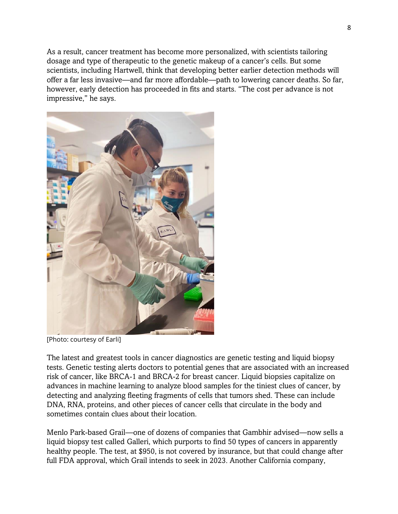As a result, cancer treatment has become more personalized, with scientists tailoring dosage and type of therapeutic to the genetic makeup of a cancer's cells. But some scientists, including Hartwell, think that developing better earlier detection methods will offer a far less invasive—and far more affordable—path to lowering cancer deaths. So far, however, early detection has proceeded in fits and starts. "The cost per advance is not impressive," he says.



[Photo: courtesy of Earli]

The latest and greatest tools in cancer diagnostics are genetic testing and liquid biopsy tests. Genetic testing alerts doctors to potential genes that are associated with an increased risk of cancer, like BRCA-1 and BRCA-2 for breast cancer. Liquid biopsies capitalize on advances in machine learning to analyze blood samples for the tiniest clues of cancer, by detecting and analyzing fleeting fragments of cells that tumors shed. These can include DNA, RNA, proteins, and other pieces of cancer cells that circulate in the body and sometimes contain clues about their location.

Menlo Park-based Grail—one of dozens of companies that Gambhir advised—now sells a liquid biopsy test called Galleri, which purports to find 50 types of cancers in apparently healthy people. The test, at \$950, is not covered by insurance, but that could change after full FDA approval, which Grail intends to seek in 2023. Another California company,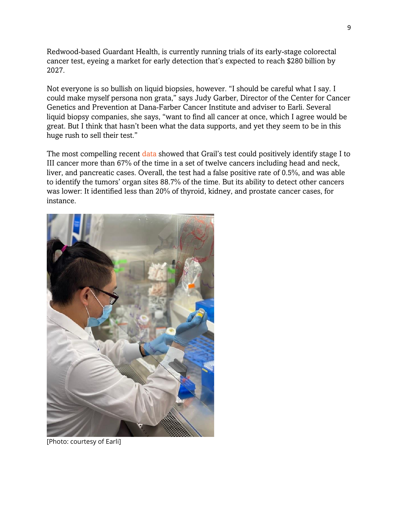Redwood-based Guardant Health, is currently running trials of its early-stage colorectal cancer test, eyeing a market for early detection that's expected to reach \$280 billion by 2027.

Not everyone is so bullish on liquid biopsies, however. "I should be careful what I say. I could make myself persona non grata," says Judy Garber, Director of the Center for Cancer Genetics and Prevention at Dana-Farber Cancer Institute and adviser to Earli. Several liquid biopsy companies, she says, "want to find all cancer at once, which I agree would be great. But I think that hasn't been what the data supports, and yet they seem to be in this huge rush to sell their test."

The most compelling recent [data](https://www.annalsofoncology.org/article/S0923-7534(21)02046-9/fulltext) showed that Grail's test could positively identify stage I to III cancer more than 67% of the time in a set of twelve cancers including head and neck, liver, and pancreatic cases. Overall, the test had a false positive rate of 0.5%, and was able to identify the tumors' organ sites 88.7% of the time. But its ability to detect other cancers was lower: It identified less than 20% of thyroid, kidney, and prostate cancer cases, for instance.



[Photo: courtesy of Earli]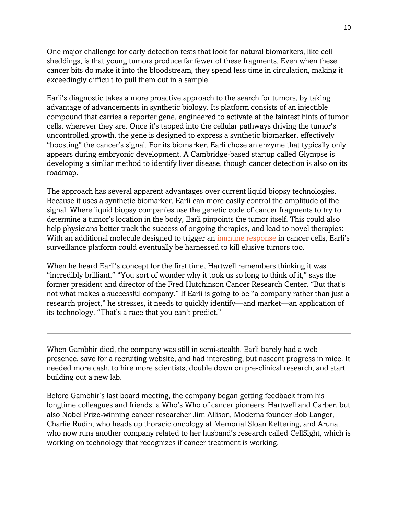One major challenge for early detection tests that look for natural biomarkers, like cell sheddings, is that young tumors produce far fewer of these fragments. Even when these cancer bits do make it into the bloodstream, they spend less time in circulation, making it exceedingly difficult to pull them out in a sample.

Earli's diagnostic takes a more proactive approach to the search for tumors, by taking advantage of advancements in synthetic biology. Its platform consists of an injectible compound that carries a reporter gene, engineered to activate at the faintest hints of tumor cells, wherever they are. Once it's tapped into the cellular pathways driving the tumor's uncontrolled growth, the gene is designed to express a synthetic biomarker, effectively "boosting" the cancer's signal. For its biomarker, Earli chose an enzyme that typically only appears during embryonic development. A Cambridge-based startup called Glympse is developing a simliar method to identify liver disease, though cancer detection is also on its roadmap.

The approach has several apparent advantages over current liquid biopsy technologies. Because it uses a synthetic biomarker, Earli can more easily control the amplitude of the signal. Where liquid biopsy companies use the genetic code of cancer fragments to try to determine a tumor's location in the body, Earli pinpoints the tumor itself. This could also help physicians better track the success of ongoing therapies, and lead to novel therapies: With an additional molecule designed to trigger an *immune response* in cancer cells, Earli's surveillance platform could eventually be harnessed to kill elusive tumors too.

When he heard Earli's concept for the first time, Hartwell remembers thinking it was "incredibly brilliant." "You sort of wonder why it took us so long to think of it," says the former president and director of the Fred Hutchinson Cancer Research Center. "But that's not what makes a successful company." If Earli is going to be "a company rather than just a research project," he stresses, it needs to quickly identify—and market—an application of its technology. "That's a race that you can't predict."

When Gambhir died, the company was still in semi-stealth. Earli barely had a web presence, save for a recruiting website, and had interesting, but nascent progress in mice. It needed more cash, to hire more scientists, double down on pre-clinical research, and start building out a new lab.

Before Gambhir's last board meeting, the company began getting feedback from his longtime colleagues and friends, a Who's Who of cancer pioneers: Hartwell and Garber, but also Nobel Prize-winning cancer researcher Jim Allison, Moderna founder Bob Langer, Charlie Rudin, who heads up thoracic oncology at Memorial Sloan Kettering, and Aruna, who now runs another company related to her husband's research called CellSight, which is working on technology that recognizes if cancer treatment is working.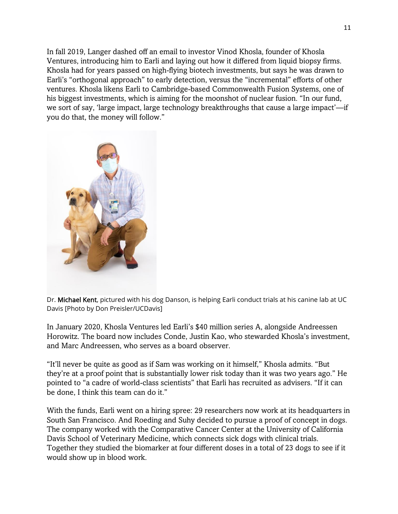In fall 2019, Langer dashed off an email to investor Vinod Khosla, founder of Khosla Ventures, introducing him to Earli and laying out how it differed from liquid biopsy firms. Khosla had for years passed on high-flying biotech investments, but says he was drawn to Earli's "orthogonal approach" to early detection, versus the "incremental" efforts of other ventures. Khosla likens Earli to Cambridge-based Commonwealth Fusion Systems, one of his biggest investments, which is aiming for the moonshot of nuclear fusion. "In our fund, we sort of say, 'large impact, large technology breakthroughs that cause a large impact'—if you do that, the money will follow."



Dr. Michael Kent, pictured with his dog Danson, is helping Earli conduct trials at his canine lab at UC Davis [Photo by Don Preisler/UCDavis]

In January 2020, Khosla Ventures led Earli's \$40 million series A, alongside Andreessen Horowitz. The board now includes Conde, Justin Kao, who stewarded Khosla's investment, and Marc Andreessen, who serves as a board observer.

"It'll never be quite as good as if Sam was working on it himself," Khosla admits. "But they're at a proof point that is substantially lower risk today than it was two years ago." He pointed to "a cadre of world-class scientists" that Earli has recruited as advisers. "If it can be done, I think this team can do it."

With the funds, Earli went on a hiring spree: 29 researchers now work at its headquarters in South San Francisco. And Roeding and Suhy decided to pursue a proof of concept in dogs. The company worked with the Comparative Cancer Center at the University of California Davis School of Veterinary Medicine, which connects sick dogs with clinical trials. Together they studied the biomarker at four different doses in a total of 23 dogs to see if it would show up in blood work.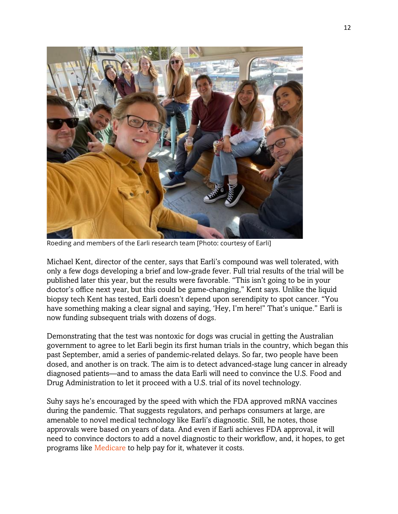

Roeding and members of the Earli research team [Photo: courtesy of Earli]

Michael Kent, director of the center, says that Earli's compound was well tolerated, with only a few dogs developing a brief and low-grade fever. Full trial results of the trial will be published later this year, but the results were favorable. "This isn't going to be in your doctor's office next year, but this could be game-changing," Kent says. Unlike the liquid biopsy tech Kent has tested, Earli doesn't depend upon serendipity to spot cancer. "You have something making a clear signal and saying, 'Hey, I'm here!" That's unique." Earli is now funding subsequent trials with dozens of dogs.

Demonstrating that the test was nontoxic for dogs was crucial in getting the Australian government to agree to let Earli begin its first human trials in the country, which began this past September, amid a series of pandemic-related delays. So far, two people have been dosed, and another is on track. The aim is to detect advanced-stage lung cancer in already diagnosed patients—and to amass the data Earli will need to convince the U.S. Food and Drug Administration to let it proceed with a U.S. trial of its novel technology.

Suhy says he's encouraged by the speed with which the FDA approved mRNA vaccines during the pandemic. That suggests regulators, and perhaps consumers at large, are amenable to novel medical technology like Earli's diagnostic. Still, he notes, those approvals were based on years of data. And even if Earli achieves FDA approval, it will need to convince doctors to add a novel diagnostic to their workflow, and, it hopes, to get programs like [Medicare](https://www.medicare.gov/coverage/preventive-screening-services) to help pay for it, whatever it costs.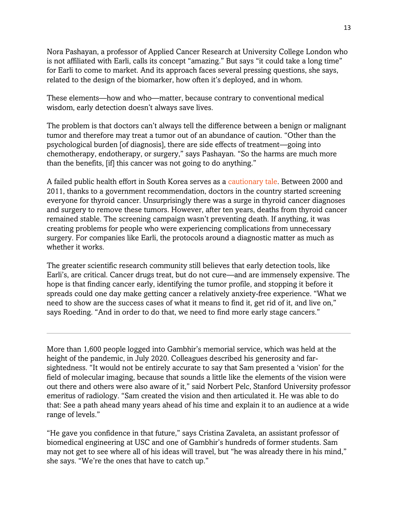Nora Pashayan, a professor of Applied Cancer Research at University College London who is not affiliated with Earli, calls its concept "amazing." But says "it could take a long time" for Earli to come to market. And its approach faces several pressing questions, she says, related to the design of the biomarker, how often it's deployed, and in whom.

These elements—how and who—matter, because contrary to conventional medical wisdom, early detection doesn't always save lives.

The problem is that doctors can't always tell the difference between a benign or malignant tumor and therefore may treat a tumor out of an abundance of caution. "Other than the psychological burden [of diagnosis], there are side effects of treatment—going into chemotherapy, endotherapy, or surgery," says Pashayan. "So the harms are much more than the benefits, [if] this cancer was not going to do anything."

A failed public health effort in South Korea serves as a [cautionary tale.](https://www.nejm.org/doi/full/10.1056/nejmp1409841) Between 2000 and 2011, thanks to a government recommendation, doctors in the country started screening everyone for thyroid cancer. Unsurprisingly there was a surge in thyroid cancer diagnoses and surgery to remove these tumors. However, after ten years, deaths from thyroid cancer remained stable. The screening campaign wasn't preventing death. If anything, it was creating problems for people who were experiencing complications from unnecessary surgery. For companies like Earli, the protocols around a diagnostic matter as much as whether it works.

The greater scientific research community still believes that early detection tools, like Earli's, are critical. Cancer drugs treat, but do not cure—and are immensely expensive. The hope is that finding cancer early, identifying the tumor profile, and stopping it before it spreads could one day make getting cancer a relatively anxiety-free experience. "What we need to show are the success cases of what it means to find it, get rid of it, and live on," says Roeding. "And in order to do that, we need to find more early stage cancers."

More than 1,600 people logged into Gambhir's memorial service, which was held at the height of the pandemic, in July 2020. Colleagues described his generosity and farsightedness. "It would not be entirely accurate to say that Sam presented a 'vision' for the field of molecular imaging, because that sounds a little like the elements of the vision were out there and others were also aware of it," said Norbert Pelc, Stanford University professor emeritus of radiology. "Sam created the vision and then articulated it. He was able to do that: See a path ahead many years ahead of his time and explain it to an audience at a wide range of levels."

"He gave you confidence in that future," says Cristina Zavaleta, an assistant professor of biomedical engineering at USC and one of Gambhir's hundreds of former students. Sam may not get to see where all of his ideas will travel, but "he was already there in his mind," she says. "We're the ones that have to catch up."